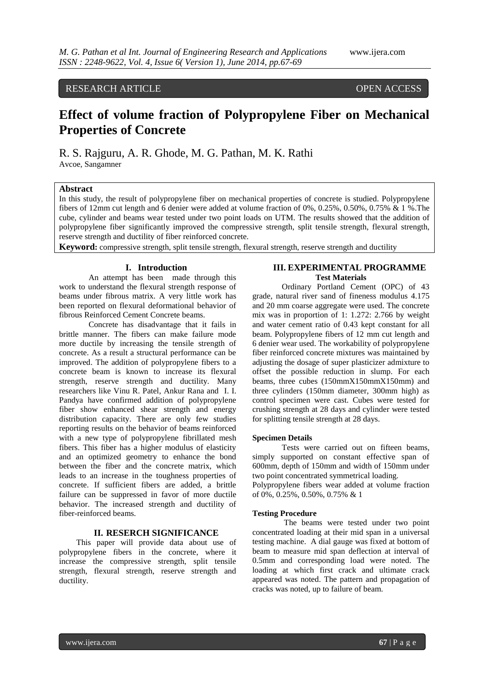# RESEARCH ARTICLE OPEN ACCESS

# **Effect of volume fraction of Polypropylene Fiber on Mechanical Properties of Concrete**

R. S. Rajguru, A. R. Ghode, M. G. Pathan, M. K. Rathi Avcoe, Sangamner

# **Abstract**

In this study, the result of polypropylene fiber on mechanical properties of concrete is studied. Polypropylene fibers of 12mm cut length and 6 denier were added at volume fraction of 0%, 0.25%, 0.50%, 0.75% & 1 %.The cube, cylinder and beams wear tested under two point loads on UTM. The results showed that the addition of polypropylene fiber significantly improved the compressive strength, split tensile strength, flexural strength, reserve strength and ductility of fiber reinforced concrete.

**Keyword:** compressive strength, split tensile strength, flexural strength, reserve strength and ductility

#### **I. Introduction**

An attempt has been made through this work to understand the flexural strength response of beams under fibrous matrix. A very little work has been reported on flexural deformational behavior of fibrous Reinforced Cement Concrete beams.

Concrete has disadvantage that it fails in brittle manner. The fibers can make failure mode more ductile by increasing the tensile strength of concrete. As a result a structural performance can be improved. The addition of polypropylene fibers to a concrete beam is known to increase its flexural strength, reserve strength and ductility. Many researchers like Vinu R. Patel, Ankur Rana and I. I. Pandya have confirmed addition of polypropylene fiber show enhanced shear strength and energy distribution capacity. There are only few studies reporting results on the behavior of beams reinforced with a new type of polypropylene fibrillated mesh fibers. This fiber has a higher modulus of elasticity and an optimized geometry to enhance the bond between the fiber and the concrete matrix, which leads to an increase in the toughness properties of concrete. If sufficient fibers are added, a brittle failure can be suppressed in favor of more ductile behavior. The increased strength and ductility of fiber-reinforced beams.

#### **II. RESERCH SIGNIFICANCE**

This paper will provide data about use of polypropylene fibers in the concrete, where it increase the compressive strength, split tensile strength, flexural strength, reserve strength and ductility.

#### **III. EXPERIMENTAL PROGRAMME Test Materials**

Ordinary Portland Cement (OPC) of 43 grade, natural river sand of fineness modulus 4.175 and 20 mm coarse aggregate were used. The concrete mix was in proportion of 1: 1.272: 2.766 by weight and water cement ratio of 0.43 kept constant for all beam. Polypropylene fibers of 12 mm cut length and 6 denier wear used. The workability of polypropylene fiber reinforced concrete mixtures was maintained by adjusting the dosage of super plasticizer admixture to offset the possible reduction in slump. For each beams, three cubes (150mmX150mmX150mm) and three cylinders (150mm diameter, 300mm high) as control specimen were cast. Cubes were tested for crushing strength at 28 days and cylinder were tested for splitting tensile strength at 28 days.

#### **Specimen Details**

Tests were carried out on fifteen beams, simply supported on constant effective span of 600mm, depth of 150mm and width of 150mm under two point concentrated symmetrical loading.

Polypropylene fibers wear added at volume fraction of 0%, 0.25%, 0.50%, 0.75% & 1

#### **Testing Procedure**

The beams were tested under two point concentrated loading at their mid span in a universal testing machine. A dial gauge was fixed at bottom of beam to measure mid span deflection at interval of 0.5mm and corresponding load were noted. The loading at which first crack and ultimate crack appeared was noted. The pattern and propagation of cracks was noted, up to failure of beam.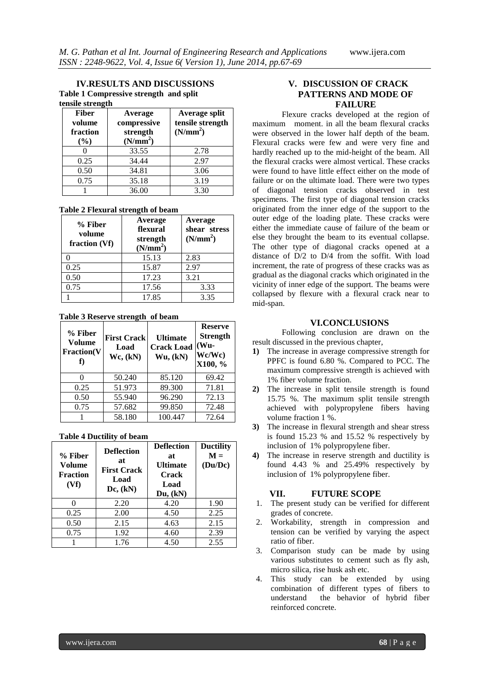#### **IV.RESULTS AND DISCUSSIONS Table 1 Compressive strength and split tensile strength**

| <b>Fiber</b><br>volume<br>fraction<br>(%) | Average<br>compressive<br>strength<br>(N/mm <sup>2</sup> ) | Average split<br>tensile strength<br>(N/mm <sup>2</sup> ) |
|-------------------------------------------|------------------------------------------------------------|-----------------------------------------------------------|
|                                           | 33.55                                                      | 2.78                                                      |
| 0.25                                      | 34.44                                                      | 2.97                                                      |
| 0.50                                      | 34.81                                                      | 3.06                                                      |
| 0.75                                      | 35.18                                                      | 3.19                                                      |
|                                           | 36.00                                                      | 3.30                                                      |

#### **Table 2 Flexural strength of beam**

| % Fiber<br>volume<br>fraction (Vf) | Average<br>flexural<br>strength<br>(N/mm <sup>2</sup> ) | Average<br>shear stress<br>(N/mm <sup>2</sup> ) |
|------------------------------------|---------------------------------------------------------|-------------------------------------------------|
|                                    | 15.13                                                   | 2.83                                            |
| 0.25                               | 15.87                                                   | 2.97                                            |
| 0.50                               | 17.23                                                   | 3.21                                            |
| 0.75                               | 17.56                                                   | 3.33                                            |
|                                    | 17.85                                                   | 3.35                                            |

#### **Table 3 Reserve strength of beam**

| % Fiber<br>Volume<br><b>Fraction(V</b> | <b>First Crack</b><br>Load<br>Wc, (kN) | <b>Ultimate</b><br><b>Crack Load</b><br>Wu, (kN) | <b>Reserve</b><br><b>Strength</b><br>$(Wu -$<br>Wc/Wc)<br>X100, % |
|----------------------------------------|----------------------------------------|--------------------------------------------------|-------------------------------------------------------------------|
|                                        | 50.240                                 | 85.120                                           | 69.42                                                             |
| 0.25                                   | 51.973                                 | 89.300                                           | 71.81                                                             |
| 0.50                                   | 55.940                                 | 96.290                                           | 72.13                                                             |
| 0.75                                   | 57.682                                 | 99.850                                           | 72.48                                                             |
|                                        | 58.180                                 | 100.447                                          | 72.64                                                             |

# **Table 4 Ductility of beam**

| % Fiber<br>Volume<br><b>Fraction</b><br>(Vf) | <b>Deflection</b><br>at<br><b>First Crack</b><br>Load<br>Dc, (kN) | <b>Deflection</b><br>at<br><b>Ultimate</b><br><b>Crack</b><br>Load<br>Du, (kN) | <b>Ductility</b><br>$M =$<br>(Du/DC) |
|----------------------------------------------|-------------------------------------------------------------------|--------------------------------------------------------------------------------|--------------------------------------|
|                                              | 2.20                                                              | 4.20                                                                           | 1.90                                 |
| 0.25                                         | 2.00                                                              | 4.50                                                                           | 2.25                                 |
| 0.50                                         | 2.15                                                              | 4.63                                                                           | 2.15                                 |
| 0.75                                         | 1.92                                                              | 4.60                                                                           | 2.39                                 |
|                                              | 1.76                                                              | 4.50                                                                           | 2.55                                 |

# **V. DISCUSSION OF CRACK PATTERNS AND MODE OF FAILURE**

Flexure cracks developed at the region of maximum moment. in all the beam flexural cracks were observed in the lower half depth of the beam. Flexural cracks were few and were very fine and hardly reached up to the mid-height of the beam. All the flexural cracks were almost vertical. These cracks were found to have little effect either on the mode of failure or on the ultimate load. There were two types of diagonal tension cracks observed in test specimens. The first type of diagonal tension cracks originated from the inner edge of the support to the outer edge of the loading plate. These cracks were either the immediate cause of failure of the beam or else they brought the beam to its eventual collapse. The other type of diagonal cracks opened at a distance of D/2 to D/4 from the soffit. With load increment, the rate of progress of these cracks was as gradual as the diagonal cracks which originated in the vicinity of inner edge of the support. The beams were collapsed by flexure with a flexural crack near to mid-span.

# **VI.CONCLUSIONS**

Following conclusion are drawn on the result discussed in the previous chapter,

- **1)** The increase in average compressive strength for PPFC is found 6.80 %. Compared to PCC. The maximum compressive strength is achieved with 1% fiber volume fraction.
- **2)** The increase in split tensile strength is found 15.75 %. The maximum split tensile strength achieved with polypropylene fibers having volume fraction 1 %.
- **3)** The increase in flexural strength and shear stress is found 15.23 % and 15.52 % respectively by inclusion of 1% polypropylene fiber.
- **4)** The increase in reserve strength and ductility is found 4.43 % and 25.49% respectively by inclusion of 1% polypropylene fiber.

## **VII. FUTURE SCOPE**

- 1. The present study can be verified for different grades of concrete.
- 2. Workability, strength in compression and tension can be verified by varying the aspect ratio of fiber.
- 3. Comparison study can be made by using various substitutes to cement such as fly ash, micro silica, rise husk ash etc.
- 4. This study can be extended by using combination of different types of fibers to understand the behavior of hybrid fiber reinforced concrete.